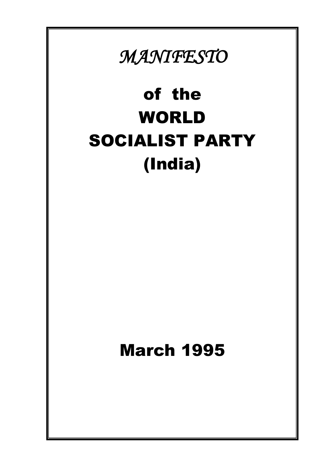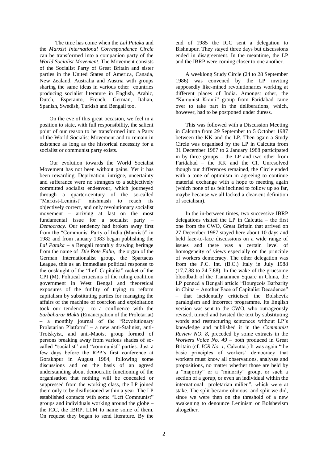The time has come when the *Lal Pataka* and the *Marxist International Correspondence Circle* can be transformed into a companion party of the *World Socialist Movement*. The Movement consists of the Socialist Party of Great Britain and sister parties in the United States of America, Canada, New Zealand, Australia and Austria with groups sharing the same ideas in various other countries producing socialist literature in English, Arabic, Dutch, Esperanto, French, German, Italian, Spanish, Swedish, Turkish and Bengali too.

On the eve of this great occasion, we feel in a position to state, with full responsibility, the salient point of our reason to be transformed into a Party of the World Socialist Movement and to remain in existence as long as the historical necessity for a socialist or communist party exists.

Our evolution towards the World Socialist Movement has not been without pains. Yet it has been rewarding. Deprivation, intrigue, uncertainty and sufferance were no strangers to a subjectively committed socialist endeavour, which journeyed through a quarter-century of the so-called "Marxist-Leninist" mishmash to reach its objectively correct, and only revolutionary socialist movement – arriving at last on the most fundamental issue for a socialist party – *Democracy*. Our tendency had broken away first from the "Communist Party of India (Marxist)" in 1982 and from January 1983 began publishing the *Lal Pataka* – a Bengali monthly drawing heritage from the name of *Die Rote Fahn,* the organ of the German Internationalist group, the Spartacus League, this as an immediate political response to the onslaught of the "Left-Capitalist" racket of the CPI (M). Political criticisms of the ruling coalition government in West Bengal and theoretical exposures of the futility of trying to reform capitalism by substituting parties for managing the affairs of the machine of coercion and exploitation took our tendency to a confluence with the *Sarbaharar Mukti* (Emancipation of the Proletariat) – a monthly journal of the "Revolutionary Proletarian Platform" – a new anti-Stalinist, anti-Trotskyist, and anti-Maoist group formed of persons breaking away from various shades of socalled "socialist" and "communist" parties. Just a few days before the RPP"s first conference at Gorakhpur in August 1984, following some discussions and on the basis of an agreed understanding about democratic functioning of the organisation that nothing will be concealed or suppressed from the working class, the LP joined them only to be disillusioned within a year. The LP established contacts with some "Left Communist" groups and individuals working around the globe – the ICC, the IBRP, LLM to name some of them. On request they began to send literature. By the

end of 1985 the ICC sent a delegation to Bishnupur. They stayed three days but discussions ended in disagreement. In the meantime, the LP and the IBRP were coming closer to one another.

A weeklong Study Circle (24 to 28 September 1986) was convened by the LP inviting supposedly like-mined revolutionaries working at different places of India. Amongst other, the "Kamunist Kranti" group from Faridabad came over to take part in the deliberations, which, however, had to be postponed under duress.

This was followed with a Discussion Meeting in Calcutta from 29 September to 5 October 1987 between the KK and the LP. Then again a Study Circle was organised by the LP in Calcutta from 31 December 1987 to 2 January 1988 participated in by three groups – the LP and two other from Faridabad – the KK and the CI. Unresolved though our differences remained, the Circle ended with a tone of optimism in agreeing to continue material exchange with a hope to meeting again (which none of us felt inclined to follow up so far, maybe because we all lacked a clear-cut definition of socialism).

In the in-between times, two successive IBRP delegations visited the LP in Calcutta – the first one from the CWO, Great Britain that arrived on 27 December 1987 stayed here about 10 days and held face-to-face discussions on a wide range of issues and there was a certain level of homogeneity of views especially on the principle of workers democracy. The other delegation was from the P.C. Int. (B.C.) Italy in July 1988 (17.7.88 to 24.7.88). In the wake of the gruesome bloodbath of the Tiananmen Square in China, the LP penned a Bengali article "Bourgeois Barbarity in China – Another Face of Capitalist Decadence" – that incidentally criticised the Bolshevik paralogism and incorrect programme. Its English version was sent to the CWO, who outrageously revised, turned and twisted the text by substituting words and restructuring sentences without LP"s knowledge and published it in the *Communist Review NO. 8*, preceded by some extracts in the *Workers Voice No. 49 –* both produced in Great Britain (cf. *ICR No. 1*, Calcutta.) It was again "the basic principles of workers' democracy that workers must know all observations, analyses and propositions, no matter whether those are held by a "majority" or a "minority" group, or such a section of a gorup, or even an individual within the international proletarian milieu", which were at stake. The split became obvious, and split we did, since we were then on the threshold of a new awakening to denounce Leninism or Bolshevism altogether.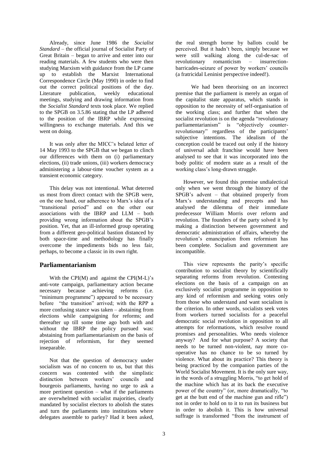Already, since June 1986 the *Socialist Standard –* the official journal of Socialist Party of Great Britain – began to arrive and enter into our reading materials. A few students who were then studying Marxism with guidance from the LP came up to establish the Marxist International Correspondence Circle (May 1990) in order to find out the correct political positions of the day.<br>Literature publication, weekly educational Literature publication, weekly educational meetings, studying and drawing information from the *Socialist Standard* texts took place. We replied to the SPGB on 3.5.86 stating that the LP adhered to the position of the IBRP while expressing willingness to exchange materials. And this we went on doing.

It was only after the MICC"s belated letter of 14 May 1993 to the SPGB that we began to clinch our differences with them on (i) parliamentary elections, (ii) trade unions, (iii) workers democracy administering a labour-time voucher system as a transient economic category.

This delay was not intentional. What deterred us most from direct contact with the SPGB were, on the one hand, our adherence to Marx"s idea of a "transitional period" and on the other our associations with the IBRP and LLM – both providing wrong information about the SPGB"s position. Yet, that an ill-informed group operating from a different geo-political bastion distanced by both space-time and methodology has finally overcome the impediments bids no less fair, perhaps, to become a classic in its own right.

## **Parliamentarianism**

With the CPI( $M$ ) and against the CPI( $M$ - $L$ )'s anti-vote campaign, parliamentary action became necessary because achieving reforms (i.e. "minimum programme") appeared to be necessary before "the transition" arrived; with the RPP a more confusing stance was taken – abstaining from elections while campaigning for reforms; and thereafter up till some time ago both with and without the IBRP the policy pursued was: abstaining from parliamentarianism on the basis of rejection of reformism, for they seemed inseparable.

Not that the question of democracy under socialism was of no concern to us, but that this concern was contented with the simplistic distinction between workers" councils and bourgeois parliaments, having no urge to ask a more pertinent question – what if the parliaments are overwhelmed with socialist majorities, clearly mandated by socialist electors to abolish the states and turn the parliaments into institutions where delegates assemble to parley? Had it been asked,

the real strength borne by ballots could be perceived. But it hadn"t been, simply because we were still walking along the cul-de-sac of revolutionary romanticism – insurrectionbarricades-seizure of power by workers' councils (a fratricidal Leninist perspective indeed!).

We had been theorising on an incorrect premise that the parliament is merely an organ of the capitalist state apparatus, which stands in opposition to the necessity of self-organisation of the working class; and further that when the socialist revolution is on the agenda "revolutionary" parliamentarianism" is "objectively counterrevolutionary" regardless of the participants' subjective intentions. The idealism of the conception could be traced out only if the history of universal adult franchise would have been analysed to see that it was incorporated into the body politic of modern state as a result of the working class"s long-drawn struggle.

However, we found this premise undialectical only when we went through the history of the SPGB"s advent – that obtained properly from Marx"s understanding and precepts and has analysed the dilemma of their immediate predecessor William Morris over reform and revolution. The founders of the party solved it by making a distinction between government and democratic administration of affairs, whereby the revolution"s emancipation from reformism has been complete. Socialism and government are incompatible.

This view represents the parity's specific contribution to socialist theory by scientifically separating reforms from revolution. Contesting elections on the basis of a campaign on an exclusively socialist programme in opposition to any kind of reformism and seeking votes only from those who understand and want socialism is the criterion. In other words, socialists seek votes from workers turned socialists for a peaceful democratic social revolution in opposition to all attempts for reformations, which resolve round promises and personalities. Who needs violence anyway? And for what purpose? A society that needs to be turned non-violent, nay more cooperative has no chance to be so turned by violence. What about its practice? This theory is being practiced by the companion parties of the World Socialist Movement. It is the only sure way, in the words of a struggling Morris, "to get hold of the machine which has at its back the executive power of the country" (or, more dramatically, "to get at the butt end of the machine gun and rifle") not in order to hold on to it to run its business but in order to abolish it. This is how universal suffrage is transformed "from the instrument of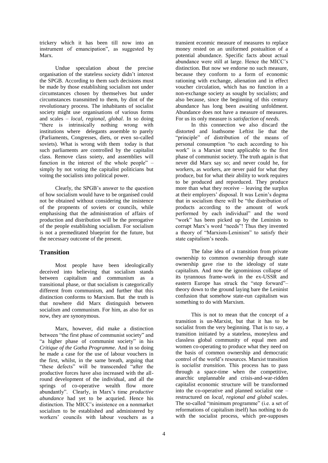trickery which it has been till now into an instrument of emancipation", as suggested by Marx.

Undue speculation about the precise organisation of the stateless society didn"t interest the SPGB. According to them such decisions must be made by those establishing socialism not under circumstances chosen by themselves but under circumstances transmitted to them, by dint of the revolutionary process. The inhabitants of socialist society might use organisations of various forms and scales – *local, regional, global*. In so doing "there is intrinsically nothing wrong with institutions where delegants assemble to parely (Parliaments, Congresses, diets, or even so-called soviets). What is wrong with them today is that such parliaments are controlled by the capitalist class. Remove class soiety, and assemblies will function in the interest of the whole people" – simply by not voting the capitalist politicians but voitng the socialists into political power.

Clearly, the SPGB"s answer to the question of how socialism would have to be organised could not be obtained without considering the insistence of the propnents of soviets or councils, while emphasising that the administration of affairs of production and distribution will be the prerogative of the people establishing socialism. For socialism is not a premeditated blueprint for the future, but the necessary outcome of the present.

# **Transition**

Most people have been ideologically deceived into believing that socialism stands between capitalism and communism as a transitional phase, or that socialism is categorically different from communism, and further that this distinction conforms to Marxism. But the truth is that nowhere did Marx distinguish between socialism and communism. For him, as also for us now, they are synonymous.

Marx, however, did make a distinction between "the first phase of communist society" and "a higher phase of communist society" in his *Critique of the Gotha Programme.* And in so doing he made a case for the use of labour vouchers in the first, whilst, in the same breath, arguing that "these defects" will be transcended "after the productive forces have also increased with the allround development of the individual, and all the springs of co-operative wealth flow more abundantly". Clearly, in Marx"s time *productive abundance* had yet to be acquried. Hence his distinction. The MICC"s insistence on a nonmarket socialism to be established and administered by workers" councils with labour vouchers as a

transient econmic measure of measures to replace money rested on an uniformed postualtion of a potential abundance. Specific facts about actual abundance were still at large. Hence the MICC"s distinction. But now we endorse no such measure, because they conform to a form of economic rationing with exchange, alienation and in effect voucher circulation, which has no function in a non-exchange society as sought by socialists; and also because, since the beginning of this century abundance has long been awaiting unfoldment. Abundance does not have a measure of measures. For us its only measure is *satisfaction of needs.* 

In this connection we also discard the distorted and loathsome Leftist lie that the "principle" of distribution of the means of personal consumption "to each according to his work" is a Marxist tenet applicable to the first phase of communist society. The truth again is that never did Marx say so; and never could he, for workers, as workers, are never paid for what they produce, but for what their ability to work requires to be produced and reporduced. They produce more than what they receive – leaving the surplus at their employers" disposal. It was Lenin"s dogma that in socialism there will be "the distribution of products according to the amount of work performed by each individual" and the word "work" has been picked up by the Leninists to corrupt Marx"s word "needs"! Thus they invented a theory of "Marxism-Leninism" to satisfy their state capitalism"s needs.

The false idea of a transition from private ownership to common ownership through state ownership gave rise to the ideology of state capitalism. And now the ignominious collapse of its tyrannous frame-work in the ex-USSR and eastern Europe has struck the "step forward"– theory down to the ground laying bare the Leninist confusion that somehow state-run capitalism was something to do with Marxism.

This is not to mean that the concept of a transition is un-Marxist, but that it has to be socialist from the very beginning. That is to say, a transition initiated by a stateless, moneyless and classless global community of equal men and women co-operating to produce what they need on the basis of common ownership and democratic control of the world"s resources. Marxist transition is *socialist transition.* This process has to pass through a space-time when the competitive, anarchic unplannable and crisis-and-war-ridden capitalist economic structure will be transformed into the co-operative and planned socialist one – restructured on *local, regional and global* scales. The so-called "minimum programme" (i.e. a set of reformations of capitalism itself) has nothing to do with the socialist process, which pre-supposes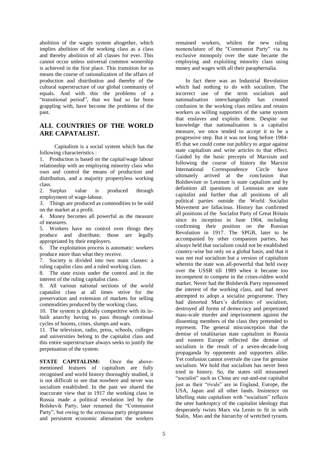abolition of the wages system altogether, which implies abolition of the working class as a class and thereby abolition of all classes for ever. This cannot occur unless universal common wonership is achieved in the first place. This transition for us means the course of rationalization of the affairs of production and distribution and thereby of the cultural superstructure of our global community of equals. And with this the problems of a "transitional period", that we had so far been grappling with, have become the problems of the past.

# **ALL COUNTRIES OF THE WORLD ARE CAPATALIST.**

Capitalism is a social system which has the following characteristics :

1. Production is based on the capital/wage labour relationship with an employing minority class who own and control the means of production and distribution, and a majority propertyless working class.

2. Surplus value is produced through employment of wage-labour.

3. Things are produced as commodities to be sold on the market at a profit.

4. Money becomes all powerful as the measure of measures.

5. Workers have no control over things they produce and distribute; those are legally appropriated by their employers.

6. The exploitation process is automatic: workers produce more than what they receive.

7. Society is divided into two main classes: a ruling capalist class and a ruled working class.

8. The state exists under the control and in the interest of the ruling capitalist class.

9. All various national sections of the world capatalist class at all times strive for the preservation and extension of markets for selling commodities produced by the working class.

10. The system is globally competitive with its inbuilt anarchy having to pass through continual cycles of booms, crises, slumps and wars.

11. The television, radio, press, schools, colleges and universities belong to the capitalist class and this entire superstructure always seeks to justify the perpetuation of the system.

STATE CAPITALISM: Once the abovementioned features of capitalism are fully recognised and world history thoroughly studied, it is not difficult to see that nowhere and never was socialism established. In the past we shared the inaccurate view that in 1917 the working class in Russia made a political revolution led by the Bolshevik Party, later renamed the "Communist Party", but owing to the errneous party programme and persistent economic alienation the workers

remained workers, whilest the new ruling nomenclature of the "Communist Party" via its exclusive monopoly over the state became the employing and exploiting minority class using money and wages with all their paraphernalia.

In fact there was an Industrial Revolution which had nothing to do with socialism. The incorrect use of the term socialism and nationalisation interchangeably has created confusion in the working class milieu and retains workers as willing supporters of the same system that enslaves and exploits them. Despite our knowledge that nationalisation is a capitalist measure, we once tended to accept it to be a progressive step. But it was not long before 1984- 85 that we could come out publicy to argue against state capitalism and write articles to that effect. Guided by the basic precepts of Marxism and following the course of history the Marxist International Correspondence Circle have ultimately arrived at the conclusion that Bolshevism or Leninsm is state captalism and by definition all questions of Leninsim are state capitalist and further that all positions of all political parties outside the World Socialist Movement are fallacious. History has confirmed all positions of the Socialist Party of Great Britain since its inception in June 1904, including confirming their position on the Russian Revolution in 1917. The SPGB, later to be accompanied by other companion parties, has always held that socialism could not be established country-wise but only on a global basis, and that it was not real socialism but a version of capitalism wherein the state was all-powerful that held sway over the USSR till 1989 when it became too incompetent to compete in the crises-ridden world market. Never had the Bolshevik Party represented the interest of the working class, and had never attempted to adopt a socialist programme. They had distorted Marx's definition of socialism, destroyed all forms of democracy and perpetrated mass-scale murder and imprisonment against the dissenting members of the class they pretended to represent. The general misconception that the demise of totaliitarian state capitalism in Russia and eastern Europe reflected the demise of socialism is the result of a seven-decade-long propaganda by opponents and supporters alike. Yet confusion cannot overrule the case for genuine socialism. We hold that socialism has never been tried in history. So, the states still misnamed "socialist" such as China are out-and-out capitalist just as their "rivals" are in England, Europe, the USA, Japan and all other lands. Insistence on labelling state capitalism with "socialism" reflects the utter bankruptcy of the capitalist ideology that desperately twists Marx via Lenin to fit in with Stalin, Mao and the hierarchy of wretched tyrants.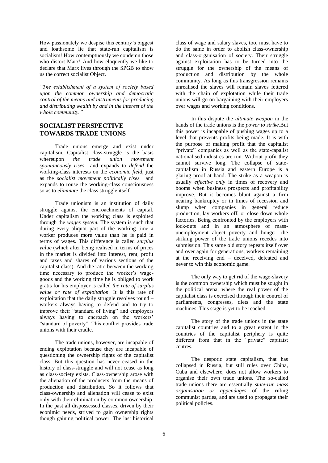How passionately we despise this century"s biggest and loathsome lie that state-run capitalism is socialism! How contemptuously we condemn those who distort Marx! And how eloquently we like to declare that Marx lives through the SPGB to show us the correct socialist Object.

*"The establishment of a system of society based upon the common ownership and democratic control of the means and instruments for producing and distributing wealth by and in the interest of the whole community."*

# **SOCIALIST PERSPECTIVE TOWARDS TRADE UNIONS**

Trade unions emerge and exist under capitalism. Capitalist class-struggle is the basis whereupon *the trade union movement spontaneously rises* and expands to *defend* the working-class interests on the *economic field,* just as the *socialist movement politically rises* and expands to rouse the working-class consciousness so as to *eliminate* the class struggle itself.

Trade unionism is an institution of daily struggle against the encroachments of capital. Under capitalism the working class is exploited through the *wages system.* The system is such that during every aliquot part of the working time a worker produces more value than he is paid in terms of wages. This difference is called *surplus value* (which after being realised in terms of prices in the market is divided into interest, rent, profit and taxes and shares of various sections of the capitalist class). And the ratio between the working time necessary to produce the worker's wagegoods and the working time he is obliged to work gratis for his employer is called *the rate of surplus value or rate of exploitation.* It is this rate of exploitation that the daily struggle resolves round – workers always having to defend and to try to improve their "standard of living" and employers always having to encroach on the workers" "standard of poverty". This conflict provides trade unions with their cradle.

The trade unions, however, are incapable of ending explotation because they are incapable of questioning the ownership rights of the capitalist class. But this question has never ceased in the history of class-struggle and will not cease as long as class-society exists. Class-ownership arose with the alienation of the producers from the means of production and distribution. So it follows that class-ownership and alienation will cease to exist only with their elimination by common ownership. In the past all dispossessed classes, driven by their econimic needs, strived to gain ownership rights though gaining political power. The last historical

class of wage and salary slaves, too, must have to do the same in order to abolish class-ownership and class-organisation of society. Their struggle against exploitation has to be turned into the struggle for the ownership of the means of production and distribution by the whole community. As long as this transgression remains unrealised the slaves will remain slaves fettered with the chain of explotation while their trade unions will go on bargaining with their employers over wages and working conditions.

In this dispute the *ultimate weapon* in the hands of the trade unions is the *power to strike.*But this power is incapable of pushing wages up to a level that prevents profits being made. It is with the purpose of making profit that the capitalist "private" companies as well as the state-capalist nationalised industres are run. Without profit they cannot survive long. The collapse of statecapitalism in Russia and eastern Europe is a glaring proof at hand. The strike as a weapon is usually *effective only* in times of recovery and booms when business prospects and profitability improve. But it becomes blunt against a firm nearing bankruptcy or in times of recession and slump when companies in general reduce production, lay workers off, or close down whole factories. Being confronted by the employers with lock-outs and in an atmosphere of massunemployment abject poverty and hunger, the striking power of the trade unions recedes into submission. This same old story repeats itself over and over again for generations, workers remaining at the receiving end – deceived, defeated and never to win this economic game.

The only way to get rid of the wage-slavery is the common ownership which must be sought in the political arena, where the real power of the capitalist class is exercised through their control of parliaments, congresses, diets and the state machines. This stage is yet to be reached.

The story of the trade unions in the state capitalist countries and to a great extent in the countries of the capitalist periphery is quite different from that in the "private" capitaist centres.

The despotic state capitalism, that has collapsed in Russia, but still rules over China, Cuba and elsewhere, does not allow workers to organise their own trade unions. The so-called trade unions there are essentially *state-run mass organisation or appendages* of the ruling communist parties, and are used to propagate their political policies.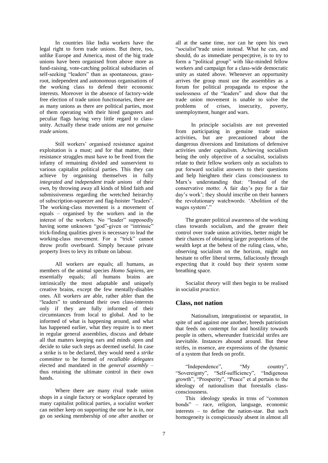In countries like India workers have the legal right to form trade unions. But there, too, unlike Europe and America, most of the big trade unions have been organised from above more as fund-raising, vote-catching political subsidiaries of self-seeking "leaders" than as spontaneous, grassroot, independent and autonomous organisations of the working class to defend their economic interests. Moreover in the absence of factory-wide free election of trade union functionaries, there are as many unions as there are political parties, most of them operating with their hired gangsters and peculiar flags having very little regard to classunity. Actually these trade unions are *not genuine trade unions.* 

Still workers" organised resistance against exploitation is a must; and for that matter, their resistance struggles must have to be freed from the infamy of remaining divided and sunservient to various capitalist political parties. This they can achieve by organising themselves in fully *integrated and independent trade unions* of their own, by throwing away all kinds of blind faith and submissiveness regarding the wretched heirarchy of subscription-squeezer and flag-hoister "leaders". The working-class movement is a movement of equals – organised by the workers and in the interest of the workers. No "leader" supposedly having some unknown "god"-given or "intrinsic" trick-finding qualities given is necessary to lead the working-class movement. For a "trick" cannot throw profit overboard. Simply because private property lives to levy its tribute on labour.

All workers are equals; all humans, as members of the animal species *Homo Sapiens,* are essentially equals; all humans brains are intrinsically the most adaptable and uniquely creative brains, except the few mentally-disables ones. All workers are able, rather abler than the "leaders" to understand their own class-interests only if they are fully informed of their circumstances from local to global. And to be informed of what is happening around, and what has happened earlier, what they require is to meet in regular general assemblies, discuss and debate all that matters keeping ears and minds open and decide to take such steps as deemed useful. In case a strike is to be declared, they would need a *strike committee* to be formed of *recallable delegates* elected and mandated in the *general assembly* – thus retaining the ultimate control in their own hands.

Where there are many rival trade union shops in a single factory or workplace operated by many capitalist political parties, a socialist worker can neither keep on supporting the one he is in, nor go on seeking membership of one after another or

all at the same time, nor can he open his own "socialist"trade union instead. What he can, and should, do as immediate perspecptive, is to try to form a "political group" with like-minded fellow workers and campaign for a class-wide democratic unity as stated above. Whenever an opportunity arrives the group must use the assemblies as a forum for political propaganda to expose the uselessness of the "leaders" and show that the trade union movement is unable to solve the problems of crises, insecurity, poverty, of crises, insecurity, poverty, unemployment, hunger and wars.

In principle socialists are not prevented from participating in genuine trade union activities, but are precautioned about the dangerous diversions and limitations of defensive activities under capitalism. Achieving socialism being the only objective of a socialist, socialists relate to their fellow workers only as socialists to put forward socialist answers to their questions and help hieighten their class consciousness to Marx"s understanding that: "Instead of the conservative motto: A fair day"s pay for a fair day"s work"; they should inscribe on their banners the revolutionary watchwords: "Abolition of the wages system'."

The greater political awareness of the working class towards socialism, and the greater their control over trade union activities, better might be their chances of obtaining larger proportions of the wealth kept at the behest of the ruling class, who, observing socialism on the horizon, might not hesitate to offer liberal terms, fallaciously through expecting that it could buy their system some breathing space.

Socialist *theory* will then begin to be realised in socialist *practice*.

## **Class, not nation**

Nationalism, integrationist or separatist, in spite of and against one another, breeds patriotism that feeds on contempt for and hostility towards people in others, whereunder fratricidal strifes are inevitable. Instances abound around. But these strifes, in essence, are expressions of the dynamic of a system that feeds on profit.

"Independence", "My country", "Sovereignty", "Self-sufficiency", "Indigenous growth", "Prosperity", "Peace" et al pertain to the ideology of nationalism that forestalls classconsciousness.

This ideology speaks in trms of "common bonds" – race, religion, language, economic interests – to define the nation-stae. But such homogeneity is conspicuously absent in almost all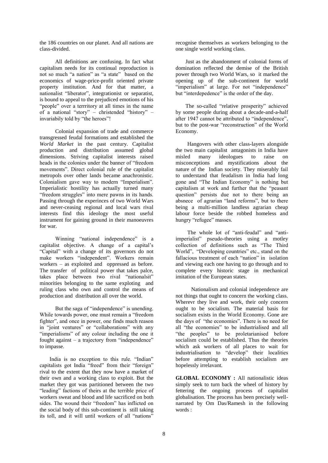the 186 countries on our planet. And all nations are class-divided.

All definitions are confusing. In fact what capitalism needs for its continual reproduction is not so much "a nation" as "a state" based on the economics of wage-price-profit oriented private property institution. And for that matter, a nationalist "liberator", integrationist or separatist, is bound to appeal to the prejudiced emotions of his "people" over a terrritory at all times in the name of a national "story" – christended "history" – invariabily told by "the heroes"!

Colonial expansion of trade and commerce transgressed feudal formations and established the *World Market* in the past century. Capitalist production and distribution assumed global dimensions. Striving capitalist interests raised heads in the colonies under the banner of "freedom movements". Direct colonial rule of the capitalist metropols over other lands became anachronistic. Colonialism gave way to modern "Imperialism". Imperialistic hostility has actually turned many "freedom struggles" into mere pawns in its hands. Passing through the experinces of two World Wars and never-ceasing regional and local wars rival interests find this ideology the most useful instrument for gaining ground in their manoeuvres for war.

Winning "national independence" is a capitalist objective. A change of a capital"s "Capital" with a change of its governors do not make workers "independent". Workers remain workers – as exploited and oppressed as before. The transfer of political power that takes palce, takes place between two rival "nationalsit" minorities belonging to the same exploting and ruling class who own and control the means of production and distribution all over the world.

But the saga of "independence" is unending. While towards power, one must remain a "freedom fighter", and once in power, one finds much reason in "joint ventures" or "collaborations" with any "imperialisms" of any colour including the one it fought against – a trajectory from "independence" to impasse.

India is no exception to this rule. "Indian" capitalists got India "freed" from their "foreign" rival to the extent that they now have a market of their own and a working class to exploit. But the market they got was partitioned between the two "leading" factions of theirs at the terrible price of workers sweat and blood and life sacrificed on both sides. The wound their "freedom" has inflicted on the social body of this sub-continent is still taking its toll, and it will until workers of all "nations"

recognise themselves as workers belonging to the one single world working class.

Just as the abandonment of colonial forms of domination reflected the demise of the British power through two World Wars, so it marked the opening up of the sub-continent for world "imperialism" at large. For not "independence" but "interdepedence" is the order of the day.

The so-called "relative prosperity" achieved by some people during about a decade-and-a-half after 1947 cannot be attributed to "independence", but to the post-war "reconstruction" of the World Economy.

Hangovers with other class-layers alongside the two main capitalist antagonists in India have misled many ideologues to raise on misconceptions and mystifications about the nature of the Indian society. They miserably fail to understand that feudalism in India had long gone and "The Indian Economy" is nothing but capitalism at work and further that the "peasant question" persists due not to there being an absnece of agrarian "land reforms", but to there being a multi-million landless agrarian cheap labour force beside the robbed homeless and hungry "refugee" masses.

The whole lot of "anti-feudal" and "antiimperialist" pseudo-theories using a motley collection of definitions such as "The Third World", "Developing countries" etc., stand on the fallacious treatment of each "nation" in isolation and viewing each one having to go through and to complete every historic stage in mechanical imitation of the European states.

Nationalism and colonial independence are not things that ought to concern the working class. Wherevr they live and work, their only concern ought to be socialism. The material basis for socialism exists in the World Economy. Gone are the days of "the economies". There is no need for all "the economies" to be industrialised and all "the peoples" to be proletarianised before socialism could be established. Thus the theories which ask workers of all places to wait for industrialisation to "develop" their localities before attempting to establish socialism are hopelessly irrelavant.

**GLOBAL ECONOMY :** All nationalistic ideas simply seek to turn back the wheel of history by fettering the ongoing process of capitalist globalisation. The process has been precisely wellnarrated by Om Das/Ramesh in the following words :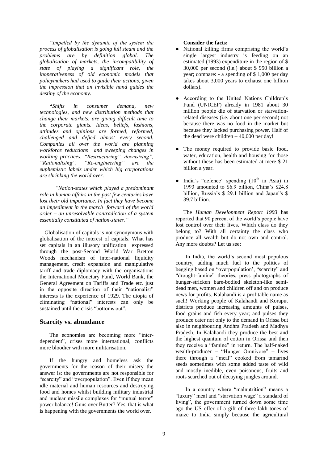*"Impelled by the dynamic of the system the process of globalisation is going full steam and the problems are by definition global. The globalisation of markets, the incompatibility of state of playing a significant role, the inoperativeness of old economic models that policymakers had used to guide their actions, given the impression that an invisible hand guides the destiny of the economy.* 

**"***Shifts in consumer demand, new technologies, and new distribution methods that change their markets, are giving difficult time to the corporate giants. Ideas, beliefs, fashions, attitudes and opinions are formed, reformed, challenged and defied almost every second. Companies all over the world are planning workforce reductions and sweeping changes in working practices. "Restructuring", downsizing", "Rationalising", "Re-engineering" are the euphemistic labels under which big corporations are shrinking the world over.* 

*"Nation-states which played a predominant role in human affairs in the past few centuries have lost their old importance. In fact they have become an impediment in the march forward of the world order – an unresolvable contradiction of a system essentially constituted of nation-states."*

Globalisation of capitals is not synonymous with globalisation of the interest of capitals. What has set capitals in an illusory unification expressed through the post-Second World War Bretton Woods mechanism of inter-national liquidity management, credit expansion and manipulative tariff and trade diplomacy with the organisations the International Monetary Fund, World Bank, the General Agreement on Tariffs and Trade etc. just in the opposite direction of their "nationalist" interests is the experience of 1929. The utopia of eliminating "national" interests can only be sustained until the crisis "bottoms out".

## **Scarcity vs. abundance**

The economies are becoming more "interdependent", crises more international, conflicts more bloodier with more militarisation.

If the hungry and homeless ask the governments for the reason of their misery the answer is: the governments are not responsible for "scarcity" and "overpopulation". Even if they mean idle material and human resources and destroying food and homes whilst building military industrial and nuclear missile complexes for "mutual terror" power balance! Guns over Butter? Yes, that is what is happening with the governments the world over.

#### **Consider the facts:**

- National killing firms comprising the world's single largest industry is feeding on an estimated (1993) expenditure in the region of \$ 30,000 per second (i.e.) about \$ 950 billion a year; compare: - a spending of \$ 1,000 per day takes about 3,000 years to exhaust one billion dollars).
- According to the United Nations Children's Fund (UNICEF) already in 1981 about 30 million people die of starvation or starvationrelated diseases (i.e. about one per second) not because there was no food in the market but because they lacked purchasing power. Half of the dead were children – 40,000 per day!
- The money required to provide basic food, water, education, health and housing for those without these has been estimated at mere \$ 21 billion a year.
- $\bullet$  India's "defence" spending (10<sup>th</sup> in Asia) in 1993 amounted to \$6.9 billion, China"s \$24.8 billion, Russia"s \$ 29.1 billion and Japan"s \$ 39.7 billion.

The *Human Development Report 1993* has reported that 90 percent of the world"s people have lost control over their lives. Which class do they belong to? With all certainty the class who produce all wealth but do not own and control. Any more doubts? Let us see:

In India, the world"s second most populous country, adding much fuel to the politics of begging based on "overpopulation', "scarcity" and "drought-famine" theories, press photographs of hunger-stricken bare-bodied skeleton-like semidead men, women and children off and on produce news for profits. Kalahandi is a profitable name as such! Working people of Kalahandi and Koraput districts produce increasing amounts of pulses, food grains and fish every year; and pulses they produce cater not only to the demand in Orissa but also in neighbouring Andhra Pradesh and Madhya Pradesh. In Kalahandi they produce the best and the highest quantum of cotton in Orissa and then they receive a "famine" in return. The half-naked wealth-producer – "Hunger Omnivore" – lives there through a "meal" cooked from tamarind seeds sometimes with some added taste of wild and mostly inedible, even poisonous, fruits and roots searched out of decaying jungles around.

In a country where "malnutrition" means a "luxury" meal and "starvation wage" a standard of living", the government turned down some time ago the US offer of a gift of three lakh tones of maize to India simply because the agricultural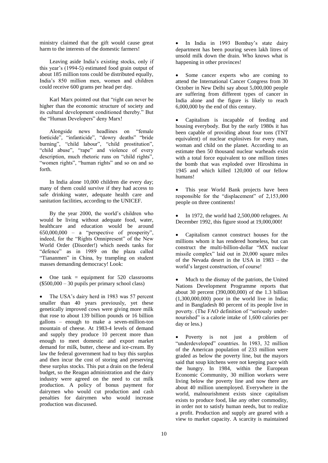ministry claimed that the gift would cause great harm to the interests of the domestic farmers!

Leaving aside India"s existing stocks, only if this year"s (1994-5) estimated food grain output of about 185 million tons could be distributed equally, India"s 850 million men, women and children could receive 600 grams per head per day.

Karl Marx pointed out that "right can never be higher than the economic structure of society and its cultural development conditioned thereby." But the "Human Developers" deny Marx!

Alongside news headlines on "female foeticide", "infanticide", "dowry deaths" "bride burning", "child labour", "child prostitution", "child abuse", "rape" and violence of every description, much rhetoric runs on "child rights", "women rights", "human rights" and so on and so forth.

In India alone 10,000 children die every day; many of them could survive if they had access to safe drinking water, adequate health care and sanitation facilities, according to the UNICEF.

By the year 2000, the world"s children who would be living without adequate food, water, healthcare and education would be around 650,000,000 – a "perspective of prosperity", indeed, for the "Rights Omnipresent" of the New World Order (Disorder!) which needs tanks for "defence" as in 1989 on the plaza called "Tiananmen" in China, by trampling on student masses demanding democracy! Look:

 One tank = equipment for 520 classrooms (\$500,000 – 30 pupils per primary school class)

The USA's dairy herd in 1983 was 57 percent smaller than 40 years previously, yet these genetically improved cows were giving more milk that rose to about 139 billion pounds or 16 billion gallons – enough to make a seven-million-ton mountain of cheese. At 1983-4 levels of demand and supply they produce 10 percent more than enough to meet domestic and export market demand for milk, butter, cheese and ice-cream. By law the federal government had to buy this surplus and then incur the cost of storing and preserving these surplus stocks. This put a drain on the federal budget, so the Reagan administration and the dairy industry were agreed on the need to cut milk production. A policy of bonus payment for dairymen who would cut production and cash penalties for dairymen who would increase production was discussed.

• In India in 1993 Bombay's state dairy department has been pouring seven lakh litres of unsold milk down the drain. Who knows what is happening in other provinces!

 Some cancer experts who are coming to attend the International Cancer Congress from 30 October in New Delhi say about 5,000,000 people are suffering from different types of cancer in India alone and the figure is likely to reach 6,000,000 by the end of this century.

 Capitalism is incapable of feeding and housing everybody. But by the early 1980s it has been capable of providing about four tons (TNT equivalent) of nuclear explosives for every man, woman and child on the planet. According to an estimate then 50 thousand nuclear warheads exist with a total force equivalent to one million times the bomb that was exploded over Hiroshima in 1945 and which killed 120,000 of our fellow humans!

 This year World Bank projects have been responsible for the "displacement" of 2,153,000 people on three continents!

 In 1972, the world had 2,500,000 refugees. At December 1992, this figure stood at 19,000,000!

 Capitalism cannot construct houses for the millions whom it has rendered homeless, but can construct the multi-billion-dollar "MX nuclear missile complex" laid out in 20,000 square miles of the Nevada desert in the USA in 1983 – the world"s largest construction, of course!

 Much to the dismay of the patriots, the United Nations Development Programme reports that about 30 percent (390,000,000) of the 1.3 billion  $(1,300,000,000)$  poor in the world live in India; and in Bangladesh 80 percent of its people live in poverty. (The FAO definition of "seriously undernourished" is a calorie intake of 1,600 calories per day or less.)

 Poverty is not just a problem of "underdeveloped" countries. In 1983, 32 million of the American population of 233 million were graded as below the poverty line, but the mayors said that soup kitchens were not keeping pace with the hungry. In 1984, within the European Economic Community, 30 million workers were living below the poverty line and now there are about 40 million unemployed. Everywhere in the world, malnourishment exists since capitalism exists to produce food, like any other commodity, in order not to satisfy human needs, but to realize a profit. Production and supply are geared with a view to market capacity. A scarcity is maintained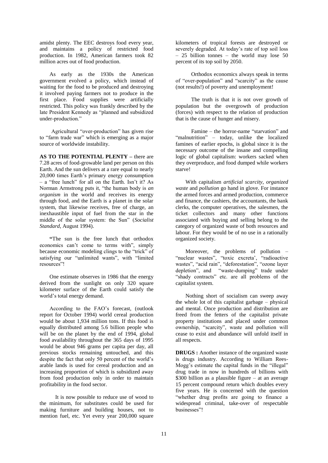amidst plenty. The EEC destroys food every year, and maintains a policy of restricted food production. In 1982, American farmers took 82 million acres out of food production.

As early as the 1930s the American government evolved a policy, which instead of waiting for the food to be produced and destroying it involved paying farmers not to produce in the first place. Food supplies were artificially restricted. This policy was frankly described by the late President Kennedy as "planned and subsidized under-production."

Agricultural "over-production" has given rise to "farm trade war" which is emerging as a major source of worldwide instability.

**AS TO THE POTENTIAL PLENTY –** there are 7.28 acres of food-growable land per person on this Earth. And the sun delivers at a rare equal to nearly 20,000 times Earth"s primary energy consumption – a "free lunch" for all on the Earth. Isn"t it? As Norman Armstrong puts it, "the human body is *an organism* in the world and receives its energy through food, and the Earth is a planet in the solar system, that likewise receives, free of charge, an inexhaustible input of fuel from the star in the middle of the solar system: the Sun" (*Socialist Standard*, August 1994).

**"**The sun is the free lunch that orthodox economics can"t come to terms with", simply because economic modeling clings to the "trick" of satisfying our "unlimited wants", with "limited resources"!

One estimate observes in 1986 that the energy derived from the sunlight on only 320 square kilometer surface of the Earth could satisfy the world"s total energy demand.

According to the FAO"s forecast, (outlook report for October 1994) world cereal production would be about 1,934 million tons. If this food is equally distributed among 5.6 billion people who will be on the planet by the end of 1994, global food availability throughout the 365 days of 1995 would be about 946 grams per capita per day, all previous stocks remaining untouched, and this despite the fact that only 50 percent of the world"s arable lands is used for cereal production and an increasing proportion of which is subsidized away from food production only in order to maintain profitability in the food sector.

It is now possible to reduce use of wood to the minimum, for substitutes could be used for making furniture and building houses, not to mention fuel, etc. Yet every year 200,000 square

kilometers of tropical forests are destroyed or severely degraded. At today's rate of top soil loss – 25 billion tonnes – the world may lose 50 percent of its top soil by 2050.

Orthodox economics always speak in terms of "over-population" and "scarcity" as the cause (not results!) of poverty and unemployment!

The truth is that it is not over growth of population but the overgrowth of production (forces) with respect to the relation of production that is the cause of hunger and misery.

Famine – the horror-name "starvation" and "malnutrition" – today, unlike the localized famines of earlier epochs, is global since it is the necessary outcome of the insane and compelling logic of global capitalism: workers sacked when they overproduce, and food dumped while workers starve!

With capitalism *artificial scarcity*, *organized waste* and *pollution* go hand in glove. For instance the armed forces and armed production, commerce and finance, the cashiers, the accountants, the bank clerks, the computer operatives, the salesmen, the ticket collectors and many other functions associated with buying and selling belong to the category of organized waste of both resources and labour. For they would be of no use in a rationally organized society.

Moreover, the problems of pollution – "nuclear wastes", "toxic excreta', "radioactive wastes", "acid rain", "deforestation", "ozone layer depletion", and "waste-dumping" trade under "shady contracts" etc. are all problems of the capitalist system.

Nothing short of socialism can sweep away the whole lot of this capitalist garbage – physical and mental. Once production and distribution are freed from the fetters of the capitalist private property institutions and placed under common ownership, "scarcity", waste and pollution will cease to exist and abundance will unfold itself in all respects.

**DRUGS :** Another instance of the organized waste is drugs industry. According to William Rees-Mogg"s estimate the capital funds in the "illegal" drug trade in now in hundreds of billions with \$300 billion as a plausible figure – at an average 15 percent compound return which doubles every five years. He is concerned with the question "whether drug profits are going to finance a widespread criminal, take-over of respectable businesses"!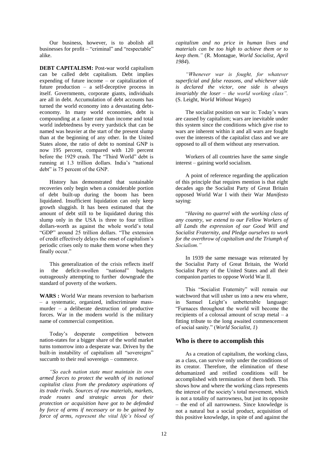Our business, however, is to abolish all businesses for profit – "criminal" and "respectable" alike.

**DEBT CAPITALISM:** Post-war world capitalism can be called debt capitalism. Debt implies expending of future income – or capitalization of future production – a self-deceptive process in itself. Governments, corporate giants, individuals are all in debt. Accumulation of debt accounts has turned the world economy into a devastating debteconomy. In many world economies, debt is compounding at a faster rate than income and total world indebtedness by every yardstick that can be named was heavier at the start of the present slump than at the beginning of any other. In the United States alone, the ratio of debt to nominal GNP is now 195 percent, compared with 120 percent before the 1929 crash. The "Third World" debt is running at 1.3 trillion dollars. India"s "national debt" is 75 percent of the GNP.

History has demonstrated that sustainable recoveries only begin when a considerable portion of debt built-up during the boom has been liquidated. Insufficient liquidation can only keep growth sluggish. It has been estimated that the amount of debt still to be liquidated during this slump only in the USA is three to four trillion dollars-worth as against the whole world"s total "GDP" around 25 trillion dollars. "The extension of credit effectively delays the onset of capitalism"s periodic crises only to make them worse when they finally occur."

This generalization of the crisis reflects itself in the deficit-swollen "national" budgets outrageously attempting to further downgrade the standard of poverty of the workers.

**WARS :** World War means reversion to barbarism – a systematic, organized, indiscriminate massmurder – a deliberate destruction of productive forces. War in the modern world is the military name of commercial competition.

Today"s desperate competition between nation-states for a bigger share of the world market turns tomorrow into a desperate war. Driven by the built-in instability of capitalism all "sovereigns" succumb to their real sovereign – commerce.

*"So each nation state must maintain its own armed forces to protect the wealth of its national capitalist class from the predatory aspirations of its trade rivals. Sources of raw materials, markets, trade routes and strategic areas for their protection or acquisition have got to be defended by force of arms if necessary or to be gained by force of arms, represent the vital life's blood of* 

*capitalism and no price in human lives and materials can be too high to achieve them or to keep them."* (R. Montague, *World Socialist, April 1984*).

*"Whenever war is fought, for whatever superficial and false reasons, and whichever side is declared the victor, one side is always invariably the loser – the world working class".* (S. Leight, *World Without Wages*)

The socialist position on war is: Today"s wars are caused by capitalism; wars are inevitable under this system since the conditions which give rise to wars are inherent within it and all wars are fought over the interests of the capitalist class and we are opposed to all of them without any reservation.

Workers of all countries have the same single interest – gaining world socialism.

A point of reference regarding the application of this principle that requires mention is that eight decades ago the Socialist Party of Great Britain opposed World War I with their War *Manifesto*  saying:

"*Having no quarrel with the working class of any country, we extend to our Fellow Workers of all Lands the expression of our Good Will and Socialist Fraternity, and Pledge ourselves to work for the overthrow of capitalism and the Triumph of Socialism."*

In 1939 the same message was reiterated by the Socialist Party of Great Britain, the World Socialist Party of the United States and all their companion parties to oppose World War II.

This "Socialist Fraternity" will remain our watchword that will usher us into a new era where, in Samuel Leight"s unbetterable language: "Furnaces throughout the world will become the recipients of a colossal amount of scrap metal – a fitting tribute to the long awaited commencement of social sanity." (*World Socialist, 1*)

## **Who is there to accomplish this**

As a creation of capitalism, the working class, as a class, can survive only under the conditions of its creator. Therefore, the elimination of these dehumanized and reified conditions will be accomplished with termination of them both. This shows how and where the working class represents the interest of the society"s total movement, which is not a totality of narrowness, but just its opposite – the end of all narrowness. Since knowledge is not a natural but a social product, acquisition of this positive knowledge, in spite of and against the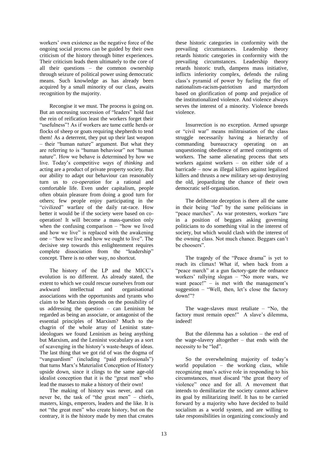workers' own existence as the negative force of the ongoing social process can be guided by their own criticism of the history through bitter experiences. Their criticism leads them ultimately to the core of all their questions – the common ownership through seizure of political power using democratic means. Such knowledge as has already been acquired by a small minority of our class, awaits recognition by the majority.

Recongise it we must. The process is going on. But an unceasing succession of "leaders" hold fast the rein of reification least the workers forget their "usefulness"! As if workers are tame cattle herds or flocks of sheep or goats requiring shepherds to tend them! As a deterrent, they put up their last weapon – their "human nature" argument. But what they are referring to is "human behaviour" not "human nature". How we behave is determined by how we live. Today"s competitive *ways of thinking* and acting are a product of private property society. But our ability to adapt our behaviour can reasonably turn us to *co-operation* for a rational and comfortable life. Even under capitalism, people often obtain pleasure from doing a good turn for others; few people enjoy participating in the "civilized" warfare of the daily rat-race. How better it would be if the society were based on cooperation! It will become a mass-question only when the confusing comparison – "how we lived" and how we live" is replaced with the awakening one – "how we live and how we ought to live". The decisive step towards this enlightenment requires complete dissociation from the "leadership" concept. There is no other way, no shortcut.

The history of the LP and the MICC"s evolution is no different. As already stated, the extent to which we could rescue ourselves from our awkward intellectual and organisational associations with the opportunists and tyrants who claim to be Marxists depends on the possibility of us addressing the question – can Leninism be regarded as being an associate, or antagonist of the essential principles of Marxism? Much to the chagrin of the whole array of Leninist stateideologues we found Leninism as being anything but Marxism, and the Leninist vocabulary as a sort of scavenging in the history"s waste-heaps of ideas. The last thing that we got rid of was the dogma of "vanguardism" (including "paid professionals") that turns Marx"s Materialist Conception of History upside down, since it clings to the same age-old idealist conception that it is the "great men" who lead the masses to make a history of their own!

The making of history was never, and can never be, the task of "the great men" – chiefs, masters, kings, emperors, leaders and the like. It is not "the great men" who create history, but on the contrary, it is the history made by men that creates

these historic categories in conformity with the prevailing circumstances. Leadership theory retards historic categories in conformity with the prevailing circumstances. Leadership theory retards historic truth, dampens mass initiative, inflicts inferiority complex, defends the ruling class"s pyramid of power by fueling the fire of nationalism-racism-patriotism and martyrdom based on glorification of pomp and prejudice of the institutionalized violence. And violence always serves the interest of a minority. Violence breeds violence.

Insurrection is no exception. Armed upsurge or "civil war" means militraisation of the class struggle necessarily having a hierarchy of commanding bureaucracy operating on an unquestioning obedience of armed contingents of workers. The same alienating process that sets workers against workers – on either side of a barricade – now as illegal killers against legalized killers and thrusts a new military set-up destroying the old, jeopardizing the chance of their own democratic self-organisation.

The deliberate deception is there all the same in their being "led" by the same politicians in "peace marches". As war protesters, workers "are in a position of beggars asking governing politicians to do something vital in the interest of society, but which would clash with the interest of the owning class. Not much chance. Beggars can"t be choosers".

The tragedy of the "Peace drama" is yet to reach its climax! What if, when back from a "peace march" at a gun factory-gate the ordnance workers" rallying slogan – "No more wars, we want peace!"  $-$  is met with the management's suggestion – "Well, then, let's close the factory down!"?

The wage-slaves must retaliate – "No, the factory must remain open!" A slave's dilemma, indeed!

But the dilemma has a solution – the end of the wage-slavery altogether – that ends with the necessity to be "led".

So the overwhelming majority of today's world population – the working class, while recognizing man"s active role in responding to his circumstances, must discard "the great theory of violence" once and for all. A movement that intends to demilitarize the society cannot achieve its goal by militarizing itself. It has to be carried forward by a majority who have decided to build socialism as a world system, and are willing to take responsibilities in organizing consciously and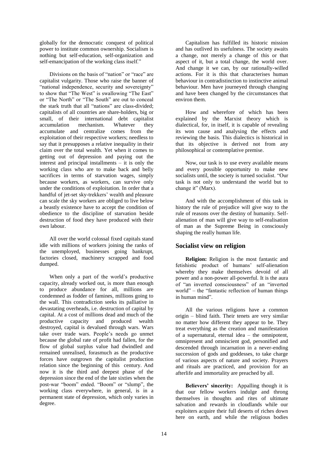globally for the democratic conquest of political power to institute common ownership. Socialism is nothing but self-education, self-organization and self-emancipation of the working class itself."

Divisions on the basis of "nation" or "race" are capitalist vulgarity. Those who raise the banner of "national independence, security and sovereignty" to show that "The West" is swallowing "The East" or "The North" or "The South" are out to conceal the stark truth that all "nations" are class-divided; capitalists of all countries are share-holders, big or small, of their international debt capitalist accumulation mechanism. Whatever they accumulate and centralize comes from the exploitation of their respective workers; needless to say that it presupposes a relative inequality in their claim over the total wealth. Yet when it comes to getting out of depression and paying out the interest and principal installments – it is only the working class who are to make back and belly sacrifices in terms of starvation wages, simply because workers, as workers, can survive only under the conditions of exploitation. In order that a handful of jet-set sky-trekkers' wealth and pleasure can scale the sky workers are obliged to live below a beastly existence have to accept the condition of obedience to the discipline of starvation beside destruction of food they have produced with their own labour.

All over the world colossal fixed capitals stand idle with millions of workers joining the ranks of the unemployed, businesses going bankrupt, factories closed, machinery scrapped and food dumped.

When only a part of the world's productive capacity, already worked out, is more than enough to produce abundance for all, millions are condemned as fodder of famines, millions going to the wall. This contradiction seeks its palliative in devastating overheads, i.e. destruction of capital by capital. At a cost of millions dead and much of the productive capacity and produced wealth destroyed, capital is devalued through wars. Wars take over trade wars. People"s needs go unmet because the global rate of profit had fallen, for the flow of global surplus value had dwindled and remained unrealised, forasmuch as the productive forces have outgrown the capitalist production relation since the beginning of this century. And now it is the third and deepest phase of the depression since the end of the late sixties when the post-war "boom" ended. "Boom" or "slump", the working class everywhere, in general, is in a permanent state of depression, which only varies in degree.

Capitalism has fulfilled its historic mission and has outlived its usefulness. The society awaits a change, not merely a change of this or that aspect of it, but a total change, the world over. And change it we can, by our rationally-willed actions. For it is this that characterises human behaviour in contradistinction to instinctive animal behaviour. Men have journeyed through changing and have been changed by the circumstances that environ them.

How and wherefore of which has been explained by the Marxist theory which is dialectical, for, in itself, it is capable of revealing its won cause and analysing the effects and reviewing the basis. This dialectics is historical in that its objective is derived not from any philosophical or contemplative premise.

Now, our task is to use every available means and every possible opportunity to make new socialists until, the society is turned socialist. "Our task is not only to understand the world but to change it" (Marx).

And with the accomplishment of this task in history the rule of prejudice will give way to the rule of reasons over the destiny of humanity. Selfalienation of man will give way to self-realisation of man as the Supreme Being in consciously shaping the really human life.

## **Socialist view on religion**

**Religion:** Religion is the most fantastic and fetishistic product of humans" self-alienation whereby they make themselves devoid of all power and a non-power all-powerful. It is the aura of "an inverted consciousness" of an "inverted world" – the "fantastic reflection of human things in human mind".

All the various religions have a common origin – blind faith. Their tenets are very similar no matter how different they appear to be. They treat everything as the creation and manifestation of a supernatural, eternal idea – the omnipotent, omnipresent and omniscient god, personified and descended through incarnation in a never-ending succession of gods and goddesses, to take charge of various aspects of nature and society. Prayers and rituals are practiced, and provision for an afterlife and immortality are preached by all.

**Believers' sincerity:** Appalling though it is that our fellow workers indulge and throng themselves in thoughts and rites of ultimate salvation and rewards in cloudlands while our exploiters acquire their full deserts of riches down here on earth, and while the religious bodies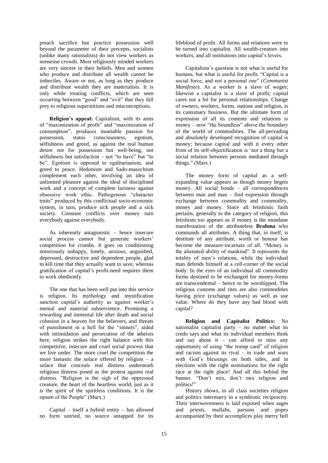preach sacrifice but practice possession well beyond the parameter of their precepts, socialists (unlike many rationalists) do not view workers as nonsense crowds. Most religiously minded workers are very sincere in their beliefs. Men and women who produce and distribute all wealth cannot be imbeciles. Aware or not, as long as they produce and distribute wealth they are materialists. It is only while treating conflicts, which are seen occurring between "good" and "evil" that they fall prey to religious superstitions and misconceptions.

**Religion's appeal:** Capitalism, with its aims of "maximization of profit" and "maximization of consumption", produces insatiable passion for possession, status consciousness, egotism, selfishness and greed, as against the real human desire not for possession but well-being, not selfishness but satisfaction – not "to have" but "to be". Egotism is opposed to egalitarianism, and greed to peace. Hedonism and Sado-masochism complement each other, involving an idea of unlimited pleasure against the ideal of disciplined work and a concept of complete laziness against obsessive work ethic. Pathogenous "character traits" produced by this conflictual socio-economic system, in turn, produce sick people and a sick society. Constant conflicts over money turn everybody against everybody.

As inherently antagonistic – hence insecure social process cannot but generate workers' competition for crumbs. It goes on conditioning notoriously unhappy, lonely, anxious, anguished, depressed, destructive and dependent people, glad to kill time that they actually want to save, whereas gratification of capital"s profit-need requires them to work obediently.

The one that has been well put into this service is religion. Its mythology and mystification sanction capital's authority as against worker's mental and material subservience. Promising a rewarding and immortal life after death and social cohesion in a heaven for the believers, and threats of punishment in a hell for the "sinners", aided with intimidation and persecution of the atheists here, religion strikes the right balance with this competitive, insecure and cruel social process that we live under. The more cruel the competition the more fantastic the solace offered by religion  $-$  a solace that conceals real distress underneath religious distress posed as the protest against real distress. "Religion is the sigh of the oppressed creature, the heart of the heartless world, just as it is the spirit of the spiritless conditions. It is the opium of the People" (Marx.)

Capital – itself a hybrid entity – has allowed no form untried, no source untapped for its

lifeblood of profit. All forms and relations were to be turned into capitalist. All wealth-creators into workers, and all institutions into capital's levers.

Capitalism"s question is not what is useful for humans, but what is useful for profit. "Capital is a social force, and not a personal one" (*Communist Manifesto*). As a worker is a slave of wages; likewise a capitalist is a slave of profit; capital cares not a bit for personal relationships. Change of owners, workers, forms, nations and religion, is its customary business. But the ultimate form of expression of all its contents and relations is money – now "the boundless" above the boundary of the world of commodities. The all-pervading and absolutely developed recognition of capital is money; because capital and with it every other from of its self-objectification is "not a thing but a social relation between persons mediated through things." (Marx.)

The money form of capital as a selfexpanding value appears as though money begets money. All social bonds – all correspondences between man and man – find expression through exchange between commodity and commodity, money and money. Since all fetishistic faith pertains, generally to the category of religion, this fetishism too appears as if money is the mundane manifestation of the attributeless **Brahma** who commands all attributes. A thing that, in itself, is destitute of any attribute, worth or honour has become the measure-incarnate of all. "Money is the alienated ability of mankind". It represents the totality of men"s relations, while the individual man defends himself at a cell-corner of the social body. In the eyes of an individual all commodity forms destined to be exchanged for money-forms are transcendental – hence to be worshipped. The religious customs and rites are also commodities having price (exchange values) as well as use value. Where do they have any bad blood with capital?

**Religion and Capitalist Politics:** No nationalist capitalist party – no matter what its credo says and what its individual members think and say about it – can afford to miss any opportunity of using "the trump card" of religion and racism against its rival – in trade and wars with God's blessings on both sides, and in elections with the right nominations for the right race at the right place! And all this behind the banner. "Don"t mix, don"t mix religion and politics!"

History shows, in all class societies religion and politics intermarry in a symbiotic reciprocity. Their interwovenness is laid exposed when sages and priests, mullahs, parsons and popes accompanied by their accomplices play merry hell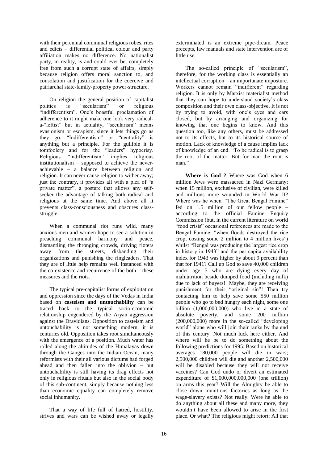with their perennial communal religious robes, rites and edicts – differential political colour and party affiliation makes no difference. No nationalist party, in reality, is and could ever be, completely free from such a corrupt state of affairs, simply because religion offers moral sanction to, and consolation and justification for the coercive and patriarchal state-family-property power-structure.

On religion the general position of capitalist<br>politics is "secularism" or religious is "secularism" or religious "indifferentism". One's boastful proclamation of adherence to it might make one look very radicala-"leftist" but in actuality, "secularism" means evasionism or escapism, since it lets things go as they go. "Indifferentism" or "neutrality" is anything but a principle. For the gullible it is tomfoolery and for the "leaders" hypocrisy. Religious "indifferentism" implies religious institutionalism – supposed to achieve the neverachievable – a balance between religion and religion. It can never cause religion to wither away; just the contrary, it provides all with a plea of "a private matter", a posture that allows any selfseeker the advantage of talking both radical and religious at the same time. And above all it prevents class-consciousness and obscures classstruggle.

When a communal riot runs wild, many anxious men and women hope to see a solution in preaching communal harmony and peace, dismantling the thronging crowds, driving rioters away from the streets, disbanding their organizations and punishing the ringleaders. That they are of little help remains well instanced with the co-existence and recurrence of the both – these measures and the riots.

The typical pre-capitalist forms of exploitation and oppression since the days of the Vedas in India based on **casteism and untouchability** can be traced back to the typical socio-economic relationship engendered by the Aryan aggression against the Dravidians. Opposition to casteism and untouchability is not something modern, it is centuries old. Opposition takes root simultaneously with the emergence of a position. Much water has rolled along the altitudes of the Himalayas down through the Ganges into the Indian Ocean, many reformists with their all various dictums had forged ahead and then fallen into the oblivion – but untouchability is still having its drag effects not only in religious rituals but also in the social body of this sub-continent, simply because nothing less than economic equality can completely remove social inhumanity.

That a way of life full of hatred, hostility, strives and wars can be wished away or legally

exterminated is an extreme pipe-dream. Peace precepts, law manuals and state intervention are of little use.

The so-called principle of "secularism", therefore, for the working class is essentially an intellectual corruption – an importunate imposture. Workers cannot remain "indifferent" regarding religion. It is only by Marxist materialist method that they can hope to understand society"s class composition and their own class-objective. It is not by trying to avoid, with one's eyes and ears closed, but by arranging and organizing for knowing that one begins to know. And this question too, like any others, must be addressed not to its effects, but to its historical source of motion. Lack of knowledge of a cause implies lack of knowledge of an end. "To be radical is to grasp the root of the matter. But for man the root is man<sup>"</sup>

**Where is God ?** Where was God when 6 million Jews were massacred in Nazi Germany; when 15 million, exclusive of civilian, were killed and millions more wounded in World War II? Where was he when. "The Great Bengal Famine" fed on 1.5 million of our fellow people – according to the official Famine Enquiry Commission (but, in the current literature on world "food crisis" occasional references are made to the Bengal Famine; "when floods destroyed the rice crop, costing some 2 million to 4 million lives") whilst "Bengal was producing the largest rice crop in history in 1943" and the per capita availability index for 1943 was higher by about 9 percent than that for 1941? Call up God to save 40,000 children under age 5 who are dying every day of malnutrition beside dumped food (including milk) due to lack of buyers! Maybe, they are receiving punishment for their "original sin"! Then try contacting him to help save some 550 million people who go to bed hungry each night, some one billion (1,000,000,000) who live in a state of absolute poverty, and some 200 million (200,000,000) more in the so-called "developing world" alone who will join their ranks by the end of this century. Not much luck here either. And where will he be to do something about the following predictions for 1995: Based on historical averages 180,000 people will die in wars; 2,500,000 children will die and another 2,500,000 will be disabled because they will not receive vaccines? Can God undo or divert an estimated expenditure of \$1,000,000,000,000 (one trillion) on arms this year? Will the Almighty be able to close down munitions factories as long as the wage-slavery exists? Not really. Were he able to do anything about all these and many more, they wouldn"t have been allowed to arise in the first place. Or what? The religious might retort: All that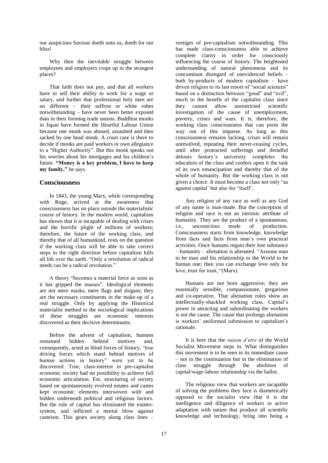our auspicious Saviour doeth unto us, doeth for our bliss!

Why then the inevitable struggle between employees and employers crops up in the strangest places?

That faith does not pay, and that all workers have to sell their ability to work for a wage or salary, and further that professional holy men are no different – their saffron or white robes notwithstanding – have never been better exposed than in their forming trade unions. Buddhist monks in Japan have formed the Heartful Labour Union because one monk was abused, assaulted and then sacked by one head monk. A court case is there to decide if monks are paid workers or own allegiance to a "Higher Authority". But this monk speaks out his worries about his mortgages and his children"s future. **"Money is a key problem, I have to keep my family,"** he says.

## **Consciousness**

In 1843, the young Marx, while corresponding with Ruge, arrived at the awareness that consciousness has no place outside the materialistic course of history. In the modern world, capitalism has shown that it is incapable of dealing with crises and the horrific plight of millions of workers; therefore, the future of the working class, and thereby that of all humankind, rests on the question if the working class will be able to take correct steps in the right direction before capitalism kills all life over the earth. "Only a revolution of radical needs can be a radical revolution."

A theory "becomes a material force as soon as it has gripped the masses". Ideological elements are not mere masks, mere flags and slogans; they are the necessary constituents in the make-up of a real struggle. Only by applying the Historical materialist method to the sociological implications of these struggles are economic interests discovered as their decisive determinants.

Before the advent of capitalism, humans remained hidden behind motives and, consequently, acted as blind forces of history, "true driving forces which stand behind motives of human actions in history" were yet to be discovered. True, class-interest in pre-capitalist economic society had no possibility to achieve full economic articulation. For, structuring of society based on spontaneously evolved estates and castes kept economic elements interwoven with and hidden underneath political and religious factors. But the rule of capital has eliminated the estatessystem, and inflicted a mortal blow against casteism. This gears society along class lines –

vestiges of pre-capitalism notwithstanding. This has made class-consciousness able to achieve complete clarity in order for consciously influencing the course of history. The heightened understanding of natural phenomena and its concomitant disregard of unevidenced beliefs – both by-products of modern capitalism – have driven religion to its last resort of "social sciences" based on a distinction between "good" and "evil", much to the benefit of the capitalist class since they cannot allow unrestricted scientific investigation of the cause of unemployment, poverty, crises and wars. It is, therefore, the working class consciousness that can point the way out of this impasse. As long as this consciousness remains lacking, crises will remain unresolved, repeating their never-ceasing cycles, until after protracted sufferings and dreadful detours history"s university completes the education of the class and confers upon it the task of its own emancipation and thereby that of the whole of humanity. But the working class is not given a choice. It must become a class not only "as against capital" but also for "itself".

Any religion of any race as well as any God of any name is man-made. But the conception of religion and race is not an intrinsic attribute of humanity. They are the product of a spontaneous,<br>i.e., unconscious mode of production. i.e., unconscious mode of production. Consciousness starts from knowledge, knowledge from facts and facts from man"s own practical activities. Once humans regain their lost substance – humanity – alienation is alienated. "Assume man to be man and his relationship to the World to be human one; then you can exchange love only for love, trust for trust, "(Marx).

Humans are not born aggressive; they are essentially sensible, compassionate, gregarious and co-operative. That alienation rules show an intellectually-shackled working class. Capital"s power in attracting and subordinating the workers is not the cause. The cause that prolongs alienation is workers' uniformed submission to capitalism's rationale.

It is here that the *raison d'etre* of the World Socialist Movement steps in. What distinguishes this movement is to be seen in its immediate cause – not in the continuation but in the elimination of class struggle through the abolition of capital/wage-labour relationship via the ballot.

The religious view that workers are incapable of solving the problems they face is diametrically opposed to the socialist view that it is the intelligence and diligence of workers in active adaptation with nature that produce all scientific knowledge and technology, bring into being a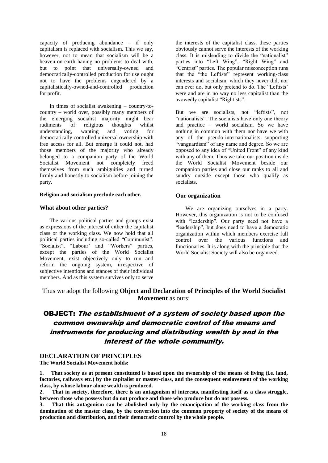capacity of producing abundance – if only capitalism is replaced with socialism. This we say, however, not to mean that socialism will be a heaven-on-earth having no problems to deal with, but to point that universally-owned and democratically-controlled production for use ought not to have the problems engendered by a capitalistically-owned-and-controlled production for profit.

In times of socialist awakening – country-tocountry – world over, possibly many members of the emerging socialist majority might bear rudiments of religious thoughts whilst understanding, wanting and voting for democratically controlled universal ownership with free access for all. But emerge it could not, had those members of the majority who already belonged to a companion party of the World Socialist Movement not completely freed themselves from such ambiguities and turned firmly and honestly to socialism before joining the party.

#### **Religion and socialism preclude each other.**

## **What about other parties?**

The various political parties and groups exist as expressions of the interest of either the capitalist class or the working class. We now hold that all political parties including so-called "Communist", "Socialist", "Labour" and "Workers" parties, except the parties of the World Socialist Movement, exist objectively only to run and reform the ongoing system, irrespective of subjective intentions and stances of their individual members. And as this system survives only to serve

the interests of the capitalist class, these parties obviously cannot serve the interests of the working class. It is misleading to divide the "nationalist" parties into "Left Wing", "Right Wing" and "Centrist" parties. The popular misconception runs that the "the Leftists" represent working-class interests and socialism, which they never did, nor can ever do, but only pretend to do. The "Leftists" were and are in no way no less capitalist than the avowedly capitalist "Rightists".

But we are socialists, not "leftists", not "nationalists". The socialists have only one theory and practice – world socialism. So we have nothing in common with them nor have we with any of the pseudo-internationalists supporting "vanguardism" of any name and degree. So we are opposed to any idea of "United Front" of any kind with any of them. Thus we take our position inside the World Socialist Movement beside our companion parties and close our ranks to all and sundry outside except those who qualify as socialists.

## **Our organization**

We are organizing ourselves in a party. However, this organization is not to be confused with "leadership". Our party need not have a "leadership", but does need to have a democratic organization within which members exercise full control over the various functions and functionaries. It is along with the principle that the World Socialist Society will also be organized.

Thus we adopt the following **Object and Declaration of Principles of the World Socialist Movement** as ours:

# OBJECT: The establishment of a system of society based upon the common ownership and democratic control of the means and instruments for producing and distributing wealth by and in the interest of the whole community.

## **DECLARATION OF PRINCIPLES**

**The World Socialist Movement holds:** 

**1. That society as at present constituted is based upon the ownership of the means of living (i.e. land, factories, railways etc.) by the capitalist or master-class, and the consequent enslavement of the working class, by whose labour alone wealth is produced.** 

**2. That in society, therefore, there is an antagonism of interests, manifesting itself as a class struggle, between those who possess but do not produce and those who produce but do not possess.**

**3. That this antagonism can be abolished only by the emancipation of the working class from the domination of the master class, by the conversion into the common property of society of the means of production and distribution, and their democratic control by the whole people.**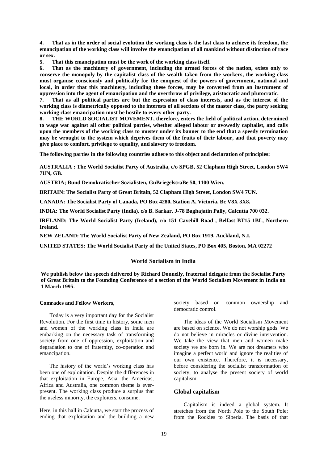**4. That as in the order of social evolution the working class is the last class to achieve its freedom, the emancipation of the working class will involve the emancipation of all mankind without distinction of race or sex.** 

**5. That this emancipation must be the work of the working class itself.** 

**6. That as the machinery of government, including the armed forces of the nation, exists only to conserve the monopoly by the capitalist class of the wealth taken from the workers, the working class must organise consciously and politically for the conquest of the powers of government, national and local, in order that this machinery, including these forces, may be converted from an instrument of oppression into the agent of emancipation and the overthrow of privilege, aristocratic and plutocratic.**<br> **That as all nolitical narties are but the expression of class interests, and as the interest of** 

**7. That as all political parties are but the expression of class interests, and as the interest of the working class is diametrically opposed to the interests of all sections of the master class, the party seeking working class emancipation must be hostile to every other party.** 

**8. THE WORLD SOCIALIST MOVEMENT, therefore, enters the field of political action, determined to wage war against all other political parties, whether alleged labour or avowedly capitalist, and calls upon the members of the working class to muster under its banner to the end that a speedy termination may be wrought to the system which deprives them of the fruits of their labour, and that poverty may give place to comfort, privilege to equality, and slavery to freedom.** 

**The following parties in the following countries adhere to this object and declaration of principles:**

**AUSTRALIA : The World Socialist Party of Australia, c/o SPGB, 52 Clapham High Street, London SW4 7UN, GB.**

**AUSTRIA; Bund Demokratischer Sozialisten, GuBriegelstraBe 50, 1100 Wien.**

**BRITAIN: The Socialist Party of Great Britain, 52 Clapham High Street, London SW4 7UN.**

**CANADA: The Socialist Party of Canada, PO Box 4280, Station A, Victoria, Bc V8X 3X8.**

**INDIA: The World Socialist Party (India), c/o B. Sarkar, J-78 Baghajatin Pally, Calcutta 700 032.**

**IRELAND: The World Socialist Party (Ireland), c/o 151 Cavehill Road , Belfast BT15 1BL, Northern Ireland.**

**NEW ZELAND: The World Socialist Party of New Zealand, PO Box 1919, Auckland, N.I.**

**UNITED STATES: The World Socialist Party of the United States, PO Box 405, Boston, MA 02272**

#### **World Socialism in India**

**We publish below the speech delivered by Richard Donnelly, fraternal delegate from the Socialist Party of Great Britain to the Founding Conference of a section of the World Socialism Movement in India on 1 March 1995.** 

#### **Comrades and Fellow Workers,**

Today is a very important day for the Socialist Revolution. For the first time in history, some men and women of the working class in India are embarking on the necessary task of transforming society from one of oppression, exploitation and degradation to one of fraternity, co-operation and emancipation.

The history of the world"s working class has been one of exploitation. Despite the differences in that exploitation in Europe, Asia, the Americas, Africa and Australia, one common theme is everpresent. The working class produce a surplus that the useless minority, the exploiters, consume.

Here, in this hall in Calcutta, we start the process of ending that exploitation and the building a new

society based on common ownership and democratic control.

The ideas of the World Socialism Movement are based on science. We do not worship gods. We do not believe in miracles or divine intervention. We take the view that men and women make society we are born in. We are not dreamers who imagine a perfect world and ignore the realities of our own existence. Therefore, it is necessary, before considering the socialist transformation of society, to analyse the present society of world capitalism.

#### **Global capitalism**

Capitalism is indeed a global system. It stretches from the North Pole to the South Pole; from the Rockies to Siberia. The basis of that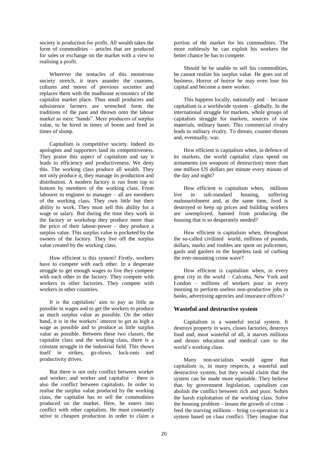society is production for profit. All wealth takes the form of commodities – articles that are produced for sales or exchange on the market with a view to realising a profit.

Wherever the tentacles of this monstrous society stretch, it tears asunder the customs, cultures and mores of previous societies and replaces them with the madhouse economics of the capitalist market place. Thus small producers and subsistence farmers are wrenched form the traditions of the past and thrown onto the labour market as mere "hands". Mere producers of surplus value, to be hired in times of boom and fired in times of slump.

Capitalism is competitive society. Indeed its apologists and supporters laud its competitiveness. They praise this aspect of capitalism and say it leads to efficiency and productiveness. We deny this. The working class produce all wealth. They not only produce it, they manage its production and distribution. A modern factory is run from top to bottom by members of the working class. From labourer to engineer to manager – all are members of the working class. They own little but their ability to work. They must sell this ability for a wage or salary. But during the time they work in the factory or workshop they produce more than the price of their labour-power – they produce a surplus value. This surplus value is pocketed by the owners of the factory. They live off the surplus value created by the working class.

How efficient is this system? Firstly, workers have to compete with each other. In a desperate struggle to get enough wages to live they compete with each other in the factory. They compete with workers in other factories. They compete with workers in other countries.

It is the capitalists' aim to pay as little as possible in wages and to get the workers to produce as much surplus value as possible. On the other hand, it is in the workers' interest to get as high a wage as possible and to produce as little surplus value as possible. Between these two classes, the capitalist class and the working class, there is a constant struggle in the industrial field. This shows itself in strikes, go-slows, lock-outs and productivity drives.

But there is not only conflict between worker and worker; and worker and capitalist – there is also the conflict between capitalists. In order to realise the surplus value produced by the working class, the capitalist has to sell the commodities produced on the market. Here, he enters into conflict with other capitalists. He must constantly strive to cheapen production in order to claim a

portion of the market for his commodities. The more ruthlessly he can exploit his workers the better chance he has to compete.

Should he be unable to sell his commodities, he cannot realize his surplus value. He goes out of business. Horror of horror he may even lose his capital and become a mere worker.

This happens locally, nationally and – because capitalism is a worldwide system – globally. In the international struggle for markets, whole groups of capitalists struggle for markets, sources of raw materials, military bases. This commercial rivalry leads to military rivalry. To threats, counter-threats and, eventually, war.

How efficient is capitalism when, in defence of its markets, the world capitalist class spend on armaments (on weapons of destruction) more than one million US dollars per minute every minute of the day and night?

How efficient is capitalism when, millions live in sub-standard housing, suffering malnourishment and, at the same time, food is destroyed to keep up prices and building workers are unemployed, banned from producing the housing that is so desperately needed?

How efficient is capitalism when, throughout the so-called civilized world, millions of pounds, dollars, marks and roubles are spent on policemen, gaols and gaolers in the hopeless task of curbing the ever-mounting crime wave?

How efficient is capitalism when, in every great city in the world – Calcutta, New York and London – millions of workers pour in every morning to perform useless non-productive jobs in banks, advertising agencies and insurance offices?

## **Wasteful and destructive system**

Capitalism is a wasteful social system. It destroys property in wars, closes factories, destroys food and, most wasteful of all, it starves millions and denies education and medical care to the world"s working class.

Many non-socialists would agree that capitalism is, in many respects, a wasteful and destructive system, but they would claim that the system can be made more equitable. They believe that, by government legislation, capitalism can abolish the conflict between rich and poor. Soften the harsh exploitation of the working class. Solve the housing problem – lessen the growth of crime – feed the starving millions – bring co-operation to a system based on class conflict. They imagine that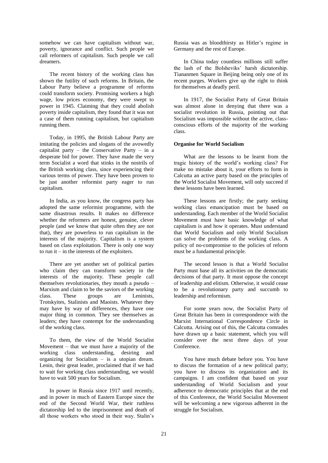somehow we can have capitalism without war, poverty, ignorance and conflict. Such people we call reformers of capitalism. Such people we call dreamers.

The recent history of the working class has shown the futility of such reforms. In Britain, the Labour Party believe a programme of reforms could transform society. Promising workers a high wage, low prices economy, they were swept to power in 1945. Claiming that they could abolish poverty inside capitalism, they found that it was not a case of them running capitalism, but capitalism running them.

Today, in 1995, the British Labour Party are imitating the policies and slogans of the avowedly capitalist party – the Conservative Party – in a desperate bid for power. They have made the very term Socialist a word that stinks in the nostrils of the British working class, since experiencing their various terms of power. They have been proven to be just another reformist party eager to run capitalism.

In India, as you know, the congress party has adopted the same reformist programme, with the same disastrous results. It makes no difference whether the reformers are honest, genuine, clever people (and we know that quite often they are not that), they are powerless to run capitalism in the interests of the majority. Capitalism is a system based on class exploitation. There is only one way to run it  $-$  in the interests of the exploiters.

There are yet another set of political parties who claim they can transform society in the interests of the majority. These people call themselves revolutionaries, they mouth a pseudo – Marxism and claim to be the saviors of the working class. These groups are Leninists, Trotskyites, Stalinists and Maoists. Whatever they may have by way of differences, they have one major thing in common. They see themselves as leaders; they have contempt for the understanding of the working class.

To them, the view of the World Socialist Movement – that we must have a majority of the working class understanding, desiring and organizing for Socialism – is a utopian dream. Lenin, their great leader, proclaimed that if we had to wait for working class understanding, we would have to wait 500 years for Socialism.

In power in Russia since 1917 until recently, and in power in much of Eastern Europe since the end of the Second World War, their ruthless dictatorship led to the imprisonment and death of all those workers who stood in their way. Stalin"s

Russia was as bloodthirsty as Hitler"s regime in Germany and the rest of Europe.

In China today countless millions still suffer the lash of the Bolsheviks" harsh dictatorship. Tiananmen Square in Beijing being only one of its recent purges. Workers give up the right to think for themselves at deadly peril.

In 1917, the Socialist Party of Great Britain was almost alone in denying that there was a socialist revolution in Russia, pointing out that Socialism was impossible without the active, classconscious efforts of the majority of the working class.

#### **Organise for World Socialism**

What are the lessons to be learnt from the tragic history of the world"s working class? For make no mistake about it, your efforts to form in Calcutta an active party based on the principles of the World Socialist Movement, will only succeed if these lessons have been learned.

These lessons are firstly; the party seeking working class emancipation must be based on understanding. Each member of the World Socialist Movement must have basic knowledge of what capitalism is and how it operates. Must understand that World Socialism and only World Socialism can solve the problems of the working class. A policy of no-compromise to the policies of reform must be a fundamental principle.

The second lesson is that a World Socialist Party must base all its activities on the democratic decisions of that party. It must oppose the concept of leadership and elitism. Otherwise, it would cease to be a revolutionary party and succumb to leadership and reformism.

For some years now, the Socialist Party of Great Britain has been in correspondence with the Marxist International Correspondence Circle in Calcutta. Arising out of this, the Calcutta comrades have drawn up a basic statement, which you will consider over the next three days of your Conference.

You have much debate before you. You have to discuss the formation of a new political party; you have to discuss its organization and its campaigns. I am confident that based on your understanding of World Socialism and your adherence to democratic principles that at the end of this Conference, the World Socialist Movement will be welcoming a new vigorous adherent in the struggle for Socialism.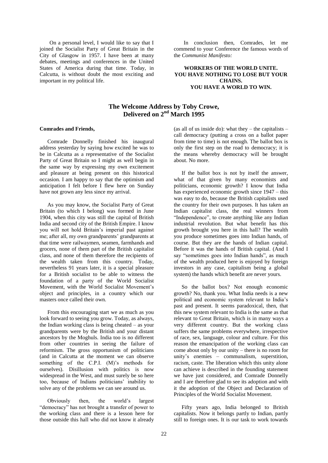On a personal level, I would like to say that I joined the Socialist Party of Great Britain in the City of Glasgow in 1957. I have been at many debates, meetings and conferences in the United States of America during that time. Today, in Calcutta, is without doubt the most exciting and important in my political life.

In conclusion then, Comrades, let me commend to your Conference the famous words of the *Communist Manifesto:*

#### **WORKERS OF THE WORLD UNITE. YOU HAVE NOTHING TO LOSE BUT YOUR CHAINS. YOU HAVE A WORLD TO WIN.**

# **The Welcome Address by Toby Crowe, Delivered on 2nd March 1995**

#### **Comrades and Friends,**

Comrade Donnelly finished his inaugural address yesterday by saying how excited he was to be in Calcutta as a representative of the Socialist Party of Great Britain so I might as well begin in the same way by expressing my own excitement and pleasure at being present on this historical occasion. I am happy to say that the optimism and anticipation I felt before I flew here on Sunday have not grown any less since my arrival.

As you may know, the Socialist Party of Great Britain (to which I belong) was formed in June 1904, when this city was still the capital of British India and second city of the British Empire. I know you will not hold Britain"s imperial past against me; after all, my own grandparents' grandparents at that time were railwaymen, seamen, farmhands and grocers, none of them part of the British capitalist class, and none of them therefore the recipients of the wealth taken from this country. Today, nevertheless 91 years later, it is a special pleasure for a British socialist to be able to witness the foundation of a party of the World Socialist Movement, with the World Socialist Movement"s object and principles, in a country which our masters once called their own.

From this encouraging start we as much as you look forward to seeing you grow. Today, as always, the Indian working class is being cheated – as your grandparents were by the British and your distant ancestors by the Moghuls. India too is no different from other countries in seeing the failure of reformism. The gross opportunism of politicians (and in Calcutta at the moment we can observe something of the C.P.I. (M)'s methods for ourselves). Disillusion with politics is now widespread in the West, and must surely be so here too, because of Indians politicians" inability to solve any of the problems we can see around us.

Obviously then, the world"s largest "democracy" has not brought a transfer of power to the working class and there is a lesson here for those outside this hall who did not know it already (as all of us inside do): what they  $-$  the capitalists  $$ call democracy (putting a cross on a ballot paper from time to time) is not enough. The ballot box is only the first step on the road to democracy; it is the means whereby democracy will be brought about. No more.

If the ballot box is not by itself the answer, what of that given by many economists and politicians, economic growth? I know that India has experienced economic growth since 1947 – this was easy to do, because the British capitalists used the country for their own purposes. It has taken an Indian capitalist class, the real winners from "Independence", to create anything like any Indian industrial revolution. But what benefit has this growth brought you here in this hall? The wealth you produce sometimes goes into Indian hands, of course. But they are the hands of Indian capital. Before it was the hands of British capital. (And I say "sometimes goes into Indian hands", as much of the wealth produced here is enjoyed by foreign investors in any case, capitalism being a global system) the hands which benefit are never yours.

So the ballot box? Not enough economic growth? No, thank you. What India needs is a new political and economic system relevant to India"s past and present. It seems paradoxical, then, that this new system relevant to India is the same as that relevant to Great Britain, which is in many ways a very different country. But the working class suffers the same problems everywhere, irrespective of race, sex, language, colour and culture. For this reason the emancipation of the working class can come about only by our unity – there is no room for unity"s enemies – communalism, superstition, racism, caste. The liberation which this unity alone can achieve is described in the founding statement we have just considered, and Comrade Donnelly and I are therefore glad to see its adoption and with it the adoption of the Object and Declaration of Principles of the World Socialist Movement.

Fifty years ago, India belonged to British capitalists. Now it belongs partly to Indian, partly still to foreign ones. It is our task to work towards